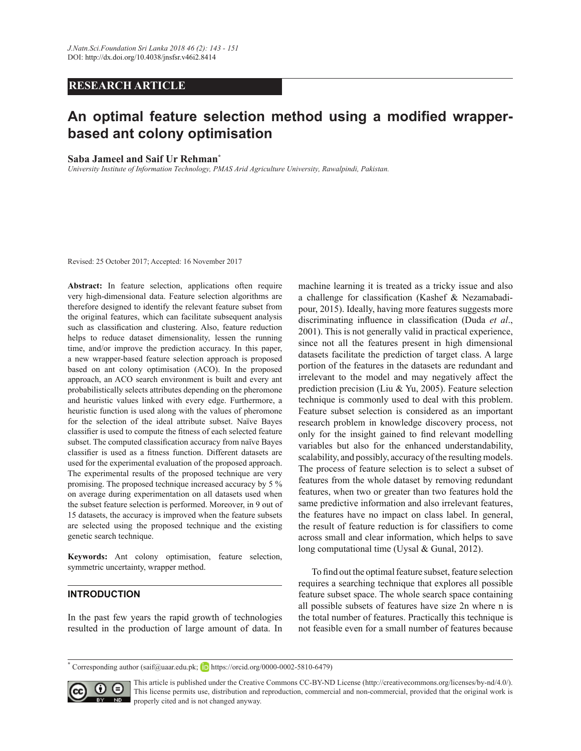# **RESEARCH ARTICLE**

# An optimal feature selection method using a modified wrapper**based ant colony optimisation**

#### **6**Saba Jameel and Saif Ur Rehman<sup>\*</sup>

*University Institute of Information Technology, PMAS Arid Agriculture University, Rawalpindi, Pakistan.*

Revised: 25 October 2017; Accepted: 16 November 2017

**Abstract:** In feature selection, applications often require very high-dimensional data. Feature selection algorithms are therefore designed to identify the relevant feature subset from the original features, which can facilitate subsequent analysis such as classification and clustering. Also, feature reduction helps to reduce dataset dimensionality, lessen the running time, and/or improve the prediction accuracy. In this paper, a new wrapper-based feature selection approach is proposed based on ant colony optimisation (ACO). In the proposed approach, an ACO search environment is built and every ant probabilistically selects attributes depending on the pheromone and heuristic values linked with every edge. Furthermore, a heuristic function is used along with the values of pheromone for the selection of the ideal attribute subset. Naïve Bayes classifier is used to compute the fitness of each selected feature subset. The computed classification accuracy from naïve Bayes classifier is used as a fitness function. Different datasets are used for the experimental evaluation of the proposed approach. The experimental results of the proposed technique are very promising. The proposed technique increased accuracy by 5  $\%$ on average during experimentation on all datasets used when the subset feature selection is performed. Moreover, in 9 out of 15 datasets, the accuracy is improved when the feature subsets are selected using the proposed technique and the existing genetic search technique.

**Keywords:** Ant colony optimisation, feature selection, symmetric uncertainty, wrapper method.

#### **INTRODUCTION**

In the past few years the rapid growth of technologies resulted in the production of large amount of data. In machine learning it is treated as a tricky issue and also a challenge for classification (Kashef & Nezamabadipour, 2015). Ideally, having more features suggests more discriminating influence in classification (Duda *et al.*, 2001). This is not generally valid in practical experience, since not all the features present in high dimensional datasets facilitate the prediction of target class. A large portion of the features in the datasets are redundant and irrelevant to the model and may negatively affect the prediction precision (Liu & Yu, 2005). Feature selection technique is commonly used to deal with this problem. Feature subset selection is considered as an important research problem in knowledge discovery process, not only for the insight gained to find relevant modelling variables but also for the enhanced understandability, scalability, and possibly, accuracy of the resulting models. The process of feature selection is to select a subset of features from the whole dataset by removing redundant features, when two or greater than two features hold the same predictive information and also irrelevant features, the features have no impact on class label. In general, the result of feature reduction is for classifiers to come across small and clear information, which helps to save long computational time (Uysal & Gunal, 2012).

To find out the optimal feature subset, feature selection requires a searching technique that explores all possible feature subset space. The whole search space containing all possible subsets of features have size 2n where n is the total number of features. Practically this technique is not feasible even for a small number of features because

<sup>\*</sup> Corresponding author (saif@uaar.edu.pk; **iD** https://orcid.org/0000-0002-5810-6479)



This article is published under the Creative Commons CC-BY-ND License (http://creativecommons.org/licenses/by-nd/4.0/). This license permits use, distribution and reproduction, commercial and non-commercial, provided that the original work is  $\overline{SD}$  properly cited and is not changed anyway.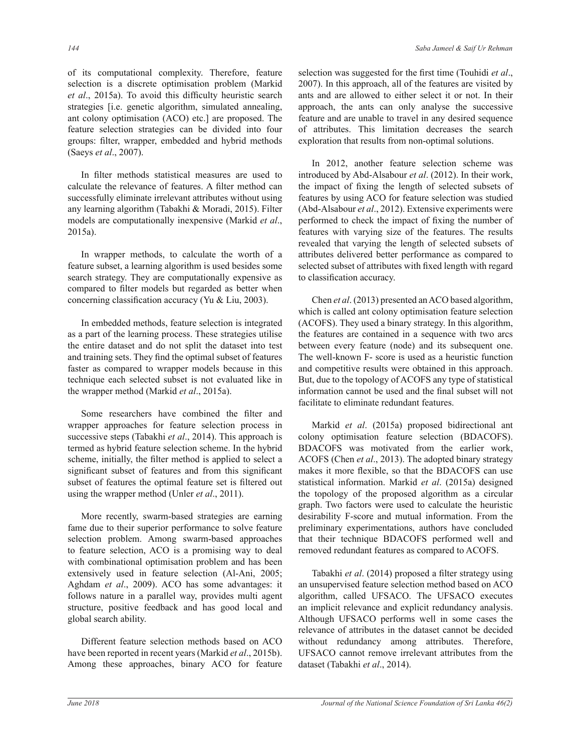of its computational complexity. Therefore, feature selection is a discrete optimisation problem (Markid et al., 2015a). To avoid this difficulty heuristic search strategies [i.e. genetic algorithm, simulated annealing, ant colony optimisation (ACO) etc.] are proposed. The feature selection strategies can be divided into four groups: filter, wrapper, embedded and hybrid methods (Saeys *et al*., 2007).

In filter methods statistical measures are used to calculate the relevance of features. A filter method can successfully eliminate irrelevant attributes without using any learning algorithm (Tabakhi & Moradi, 2015). Filter models are computationally inexpensive (Markid et al.,  $2015a$ ).

In wrapper methods, to calculate the worth of a feature subset, a learning algorithm is used besides some search strategy. They are computationally expensive as compared to filter models but regarded as better when concerning classification accuracy (Yu & Liu, 2003).

 In embedded methods, feature selection is integrated as a part of the learning process. These strategies utilise the entire dataset and do not split the dataset into test and training sets. They find the optimal subset of features faster as compared to wrapper models because in this technique each selected subset is not evaluated like in the wrapper method (Markid *et al.*, 2015a).

Some researchers have combined the filter and wrapper approaches for feature selection process in successive steps (Tabakhi *et al*., 2014). This approach is termed as hybrid feature selection scheme. In the hybrid scheme, initially, the filter method is applied to select a significant subset of features and from this significant subset of features the optimal feature set is filtered out using the wrapper method (Unler *et al.*, 2011).

More recently, swarm-based strategies are earning fame due to their superior performance to solve feature selection problem. Among swarm-based approaches to feature selection, ACO is a promising way to deal with combinational optimisation problem and has been extensively used in feature selection (Al-Ani, 2005; Aghdam et al., 2009). ACO has some advantages: it follows nature in a parallel way, provides multi agent structure, positive feedback and has good local and global search ability.

Different feature selection methods based on ACO have been reported in recent years (Markid et al., 2015b). Among these approaches, binary ACO for feature selection was suggested for the first time (Touhidi et al., 2007). In this approach, all of the features are visited by ants and are allowed to either select it or not. In their approach, the ants can only analyse the successive feature and are unable to travel in any desired sequence of attributes. This limitation decreases the search exploration that results from non-optimal solutions.

In 2012, another feature selection scheme was introduced by Abd-Alsabour *et al.* (2012). In their work, the impact of fixing the length of selected subsets of features by using ACO for feature selection was studied (Abd-Alsabour *et al.*, 2012). Extensive experiments were performed to check the impact of fixing the number of features with varying size of the features. The results revealed that varying the length of selected subsets of attributes delivered better performance as compared to selected subset of attributes with fixed length with regard to classification accuracy.

Chen *et al.* (2013) presented an ACO based algorithm, which is called ant colony optimisation feature selection  $(ACOFS)$ . They used a binary strategy. In this algorithm, the features are contained in a sequence with two arcs between every feature (node) and its subsequent one. The well-known F- score is used as a heuristic function and competitive results were obtained in this approach. But, due to the topology of ACOFS any type of statistical information cannot be used and the final subset will not facilitate to eliminate redundant features.

Markid *et al.* (2015a) proposed bidirectional ant colony optimisation feature selection (BDACOFS). BDACOFS was motivated from the earlier work, ACOFS (Chen et al., 2013). The adopted binary strategy makes it more flexible, so that the BDACOFS can use statistical information. Markid et al. (2015a) designed the topology of the proposed algorithm as a circular graph. Two factors were used to calculate the heuristic desirability F-score and mutual information. From the preliminary experimentations, authors have concluded that their technique BDACOFS performed well and removed redundant features as compared to ACOFS.

Tabakhi *et al.* (2014) proposed a filter strategy using an unsupervised feature selection method based on ACO algorithm, called UFSACO. The UFSACO executes an implicit relevance and explicit redundancy analysis. Although UFSACO performs well in some cases the relevance of attributes in the dataset cannot be decided without redundancy among attributes. Therefore, UFSACO cannot remove irrelevant attributes from the dataset (Tabakhi *et al*., 2014).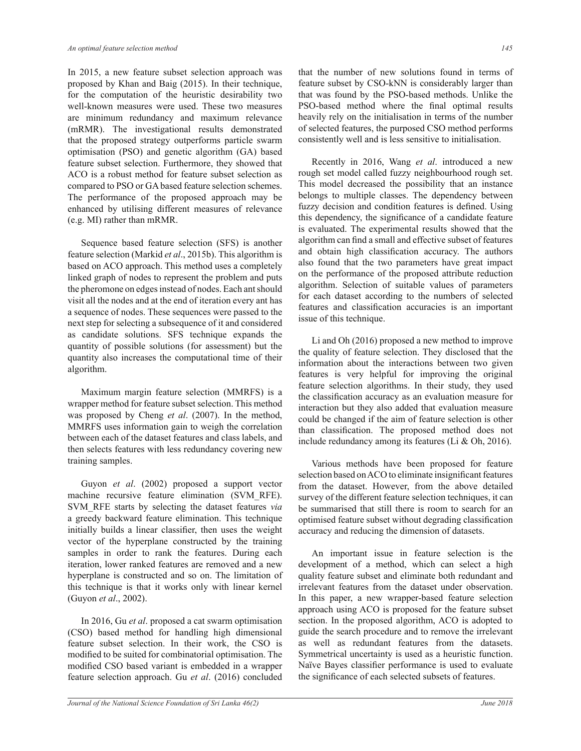In 2015, a new feature subset selection approach was proposed by Khan and Baig (2015). In their technique, for the computation of the heuristic desirability two well-known measures were used. These two measures are minimum redundancy and maximum relevance (mRMR). The investigational results demonstrated that the proposed strategy outperforms particle swarm optimisation (PSO) and genetic algorithm (GA) based feature subset selection. Furthermore, they showed that ACO is a robust method for feature subset selection as compared to PSO or GA based feature selection schemes. The performance of the proposed approach may be enhanced by utilising different measures of relevance  $(e.g. MI)$  rather than mRMR.

 Sequence based feature selection (SFS) is another feature selection (Markid et al., 2015b). This algorithm is based on ACO approach. This method uses a completely linked graph of nodes to represent the problem and puts the pheromone on edges instead of nodes. Each ant should visit all the nodes and at the end of iteration every ant has a sequence of nodes. These sequences were passed to the next step for selecting a subsequence of it and considered as candidate solutions. SFS technique expands the quantity of possible solutions (for assessment) but the quantity also increases the computational time of their algorithm.

Maximum margin feature selection (MMRFS) is a wrapper method for feature subset selection. This method was proposed by Cheng *et al.* (2007). In the method, MMRFS uses information gain to weigh the correlation between each of the dataset features and class labels, and then selects features with less redundancy covering new training samples.

Guyon et al. (2002) proposed a support vector machine recursive feature elimination (SVM RFE). SVM RFE starts by selecting the dataset features *via* a greedy backward feature elimination. This technique initially builds a linear classifier, then uses the weight vector of the hyperplane constructed by the training samples in order to rank the features. During each iteration, lower ranked features are removed and a new hyperplane is constructed and so on. The limitation of this technique is that it works only with linear kernel (Guyon *et al.*, 2002).

In 2016, Gu et al. proposed a cat swarm optimisation (CSO) based method for handling high dimensional feature subset selection. In their work, the CSO is modified to be suited for combinatorial optimisation. The modified CSO based variant is embedded in a wrapper feature selection approach. Gu et al. (2016) concluded

that the number of new solutions found in terms of feature subset by CSO-kNN is considerably larger than that was found by the PSO-based methods. Unlike the PSO-based method where the final optimal results heavily rely on the initialisation in terms of the number of selected features, the purposed CSO method performs consistently well and is less sensitive to initialisation.

Recently in 2016, Wang *et al.* introduced a new rough set model called fuzzy neighbourhood rough set. This model decreased the possibility that an instance belongs to multiple classes. The dependency between fuzzy decision and condition features is defined. Using this dependency, the significance of a candidate feature is evaluated. The experimental results showed that the algorithm can find a small and effective subset of features and obtain high classification accuracy. The authors also found that the two parameters have great impact on the performance of the proposed attribute reduction algorithm. Selection of suitable values of parameters for each dataset according to the numbers of selected features and classification accuracies is an important issue of this technique.

Li and Oh  $(2016)$  proposed a new method to improve the quality of feature selection. They disclosed that the information about the interactions between two given features is very helpful for improving the original feature selection algorithms. In their study, they used the classification accuracy as an evaluation measure for interaction but they also added that evaluation measure could be changed if the aim of feature selection is other than classification. The proposed method does not include redundancy among its features (Li  $& Oh, 2016$ ).

 Various methods have been proposed for feature selection based on ACO to eliminate insignificant features from the dataset. However, from the above detailed survey of the different feature selection techniques, it can be summarised that still there is room to search for an optimised feature subset without degrading classification accuracy and reducing the dimension of datasets.

 An important issue in feature selection is the development of a method, which can select a high quality feature subset and eliminate both redundant and irrelevant features from the dataset under observation. In this paper, a new wrapper-based feature selection approach using ACO is proposed for the feature subset section. In the proposed algorithm, ACO is adopted to guide the search procedure and to remove the irrelevant as well as redundant features from the datasets. Symmetrical uncertainty is used as a heuristic function. Naïve Bayes classifier performance is used to evaluate the significance of each selected subsets of features.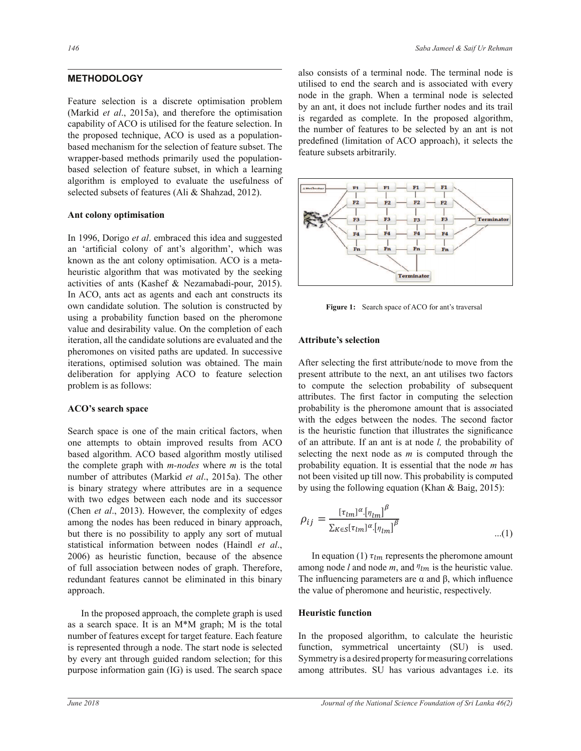## **METHODOLOGY**

Feature selection is a discrete optimisation problem (Markid *et al.*, 2015a), and therefore the optimisation capability of ACO is utilised for the feature selection. In the proposed technique, ACO is used as a populationbased mechanism for the selection of feature subset. The wrapper-based methods primarily used the populationbased selection of feature subset, in which a learning algorithm is employed to evaluate the usefulness of selected subsets of features (Ali & Shahzad, 2012).

#### **Ant colony optimisation**

In 1996, Dorigo *et al*. embraced this idea and suggested an 'artificial colony of ant's algorithm', which was known as the ant colony optimisation. ACO is a metaheuristic algorithm that was motivated by the seeking activities of ants (Kashef & Nezamabadi-pour, 2015). In ACO, ants act as agents and each ant constructs its own candidate solution. The solution is constructed by using a probability function based on the pheromone value and desirability value. On the completion of each iteration, all the candidate solutions are evaluated and the pheromones on visited paths are updated. In successive iterations, optimised solution was obtained. The main deliberation for applying ACO to feature selection problem is as follows:

#### **ACO's search space**

Search space is one of the main critical factors, when one attempts to obtain improved results from ACO based algorithm. ACO based algorithm mostly utilised the complete graph with *m-nodes* where *m* is the total number of attributes (Markid et al., 2015a). The other is binary strategy where attributes are in a sequence with two edges between each node and its successor (Chen et al., 2013). However, the complexity of edges among the nodes has been reduced in binary approach, but there is no possibility to apply any sort of mutual statistical information between nodes (Haindl et al., 2006) as heuristic function, because of the absence of full association between nodes of graph. Therefore, redundant features cannot be eliminated in this binary approach.

 In the proposed approach, the complete graph is used as a search space. It is an M<sup>\*</sup>M graph; M is the total number of features except for target feature. Each feature is represented through a node. The start node is selected by every ant through guided random selection; for this purpose information gain  $(IG)$  is used. The search space also consists of a terminal node. The terminal node is utilised to end the search and is associated with every node in the graph. When a terminal node is selected by an ant, it does not include further nodes and its trail is regarded as complete. In the proposed algorithm, the number of features to be selected by an ant is not predefined (limitation of ACO approach), it selects the feature subsets arbitrarily.



Figure 1: Search space of ACO for ant's traversal

# **Attribute's selection**

*σπροσποιή το της επιλεύτερησης από την προσποιή της προσποιής του προσποιήσης* που την προσποιήση του προσποιήση probability is the pheromone amount that is associated of an attribute. If an ant is at node *l*, the probability of selecting the next node as  $m$  is computed through the After selecting the first attribute/node to move from the present attribute to the next, an ant utilises two factors to compute the selection probability of subsequent attributes. The first factor in computing the selection is the heuristic function that illustrates the significance probability equation. It is essential that the node *m* has not been visited up till now. This probability is computed by using the following equation (Khan & Baig, 2015):

$$
\rho_{ij} = \frac{[\tau_{lm}]^{\alpha} [\eta_{lm}]^{\beta}}{\sum_{K \in S} [\tau_{lm}]^{\alpha} [\eta_{lm}]^{\beta}}
$$
...(1)

 $\frac{1}{2}$  and node *m*, and  $\eta_{lm}$  is the heuristic value. In equation (1)  $\tau_{lm}$  represents the pheromone amount and node  $m$ , and  $n_0$ <br>no parameters are c The influencing parameters are  $\alpha$  and  $\beta$ , which influence the relative of the relative parameters. ೄא಼ the value of pheromone and heuristic, respectively.

# **Heuristic function**

In the proposed algorithm, to calculate the heuristic function, symmetrical uncertainty (SU) is used. Symmetry is a desired property for measuring correlations among attributes. SU has various advantages i.e. its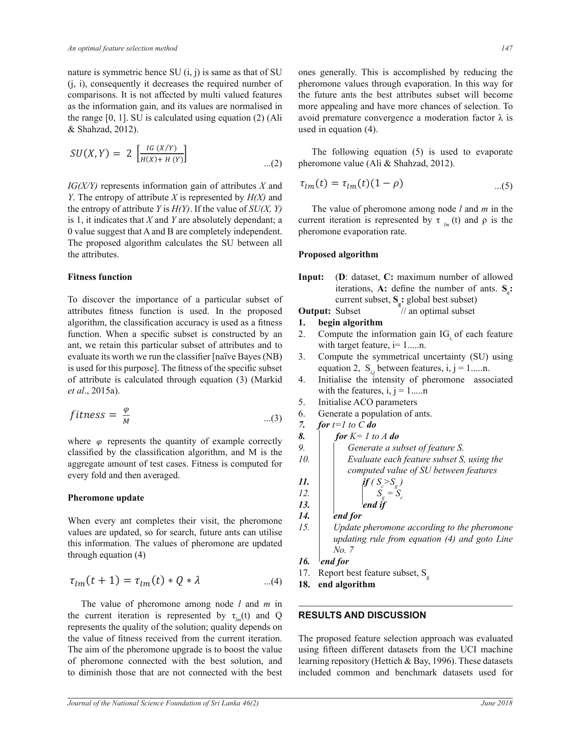nature is symmetric hence SU  $(i, j)$  is same as that of SU  $(i, i)$ , consequently it decreases the required number of comparisons. It is not affected by multi valued features as the information gain, and its values are normalised in the range  $[0, 1]$ . SU is calculated using equation  $(2)$  (Ali & Shahzad, 2012).

$$
SU(X,Y) = 2 \left[ \frac{IG(X/Y)}{H(X) + H(Y)} \right] \qquad \qquad \dots (2)
$$

 $IG(X/Y)$  represents information gain of attributes X and Y. The entropy of attribute X is represented by  $H(X)$  and the entropy of attribute Y is  $H(Y)$ . If the value of  $SU(X, Y)$ is 1, it indicates that  $X$  and  $Y$  are absolutely dependant; a 0 value suggest that A and B are completely independent. The proposed algorithm calculates the SU between all the attributes.

#### **Fitness function**

To discover the importance of a particular subset of attributes fitness function is used. In the proposed algorithm, the classification accuracy is used as a fitness function. When a specific subset is constructed by an ant, we retain this particular subset of attributes and to evaluate its worth we run the classifier [naïve Bayes (NB) is used for this purpose]. The fitness of the specific subset of attribute is calculated through equation (3) (Markid et al., 2015a).

$$
fitness = \frac{\varphi}{M} \qquad \qquad \dots (3)
$$

where  $\varphi$  represents the quantity of example correctly classified by the classification algorithm, and M is the aggregate amount of test cases. Fitness is computed for every fold and then averaged.

#### **Pheromone** update

When every ant completes their visit, the pheromone values are updated, so for search, future ants can utilise this information. The values of pheromone are updated through equation  $(4)$ 

$$
\tau_{lm}(t+1) = \tau_{lm}(t) * Q * \lambda \qquad ...(4)
$$

The value of pheromone among node  $l$  and  $m$  in the current iteration is represented by  $\tau_{\mu}$  (t) and Q represents the quality of the solution; quality depends on the value of fitness received from the current iteration. The aim of the pheromone upgrade is to boost the value of pheromone connected with the best solution, and to diminish those that are not connected with the best ones generally. This is accomplished by reducing the pheromone values through evaporation. In this way for the future ants the best attributes subset will become more appealing and have more chances of selection. To avoid premature convergence a moderation factor  $\lambda$  is used in equation  $(4)$ .

The following equation  $(5)$  is used to evaporate pheromone value (Ali & Shahzad, 2012).

$$
\tau_{lm}(t) = \tau_{lm}(t)(1-\rho) \tag{5}
$$

The value of pheromone among node  $l$  and  $m$  in the current iteration is represented by  $\tau_{lm}$  (t) and  $\rho$  is the pheromone evaporation rate.

#### Proposed algorithm

(D: dataset, C: maximum number of allowed Input: iterations, A: define the number of ants.  $S$ .: current subset,  $S_{\sigma}$ : global best subset)

#### // an optimal subset **Output: Subset**

- 1. begin algorithm
- 2. Compute the information gain IG of each feature with target feature,  $i = 1,...,n$ .
- 3. Compute the symmetrical uncertainty (SU) using equation 2,  $S_{ij}$  between features, i, j = 1.....n.
- 4. Initialise the intensity of pheromone associated with the features, i,  $j = 1,...n$
- 5. Initialise ACO parameters
- 6. Generate a population of ants.
- $\overline{7}$ . for  $t=1$  to C do
- 8. for  $K=1$  to A do 9. Generate a subset of feature S.
- Evaluate each feature subset S, using the 10. computed value of SU between features  $if(S > S)$

'end if

14. end for

- Update pheromone according to the pheromone 15. updating rule from equation (4) and goto Line No. 7
- 16. end for

Report best feature subset, S<sub>q</sub> 17.

end algorithm 18.

#### **RESULTS AND DISCUSSION**

The proposed feature selection approach was evaluated using fifteen different datasets from the UCI machine learning repository (Hettich & Bay, 1996). These datasets included common and benchmark datasets used for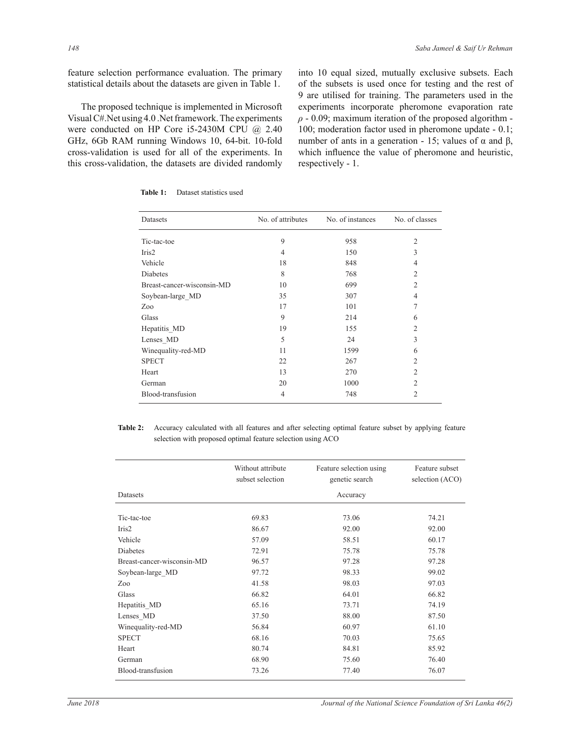feature selection performance evaluation. The primary statistical details about the datasets are given in Table 1.

The proposed technique is implemented in Microsoft Visual C#. Net using 4.0 . Net framework. The experiments were conducted on HP Core i5-2430M CPU  $\omega$  2.40 GHz, 6Gb RAM running Windows 10, 64-bit. 10-fold cross-validation is used for all of the experiments. In this cross-validation, the datasets are divided randomly

into 10 equal sized, mutually exclusive subsets. Each of the subsets is used once for testing and the rest of 9 are utilised for training. The parameters used in the experiments incorporate pheromone evaporation rate  $\rho$  - 0.09; maximum iteration of the proposed algorithm -100; moderation factor used in pheromone update - 0.1; number of ants in a generation - 15; values of  $\alpha$  and  $\beta$ , which influence the value of pheromone and heuristic, respectively - 1.

| Datasets                   | No. of attributes | No. of instances | No. of classes |
|----------------------------|-------------------|------------------|----------------|
| Tic-tac-toe                | 9                 | 958              | $\overline{2}$ |
| Iris2                      | 4                 | 150              | 3              |
| Vehicle                    | 18                | 848              | 4              |
| <b>Diabetes</b>            | 8                 | 768              | $\overline{2}$ |
| Breast-cancer-wisconsin-MD | 10                | 699              | $\overline{2}$ |
| Soybean-large MD           | 35                | 307              | 4              |
| Zoo                        | 17                | 101              | 7              |
| Glass                      | 9                 | 214              | 6              |
| Hepatitis MD               | 19                | 155              | $\overline{2}$ |
| Lenses MD                  | 5                 | 24               | 3              |
| Winequality-red-MD         | 11                | 1599             | 6              |
| <b>SPECT</b>               | 22                | 267              | 2              |
| Heart                      | 13                | 270              | $\overline{2}$ |
| German                     | 20                | 1000             | $\overline{2}$ |
| Blood-transfusion          | 4                 | 748              | $\overline{c}$ |

**Table 1:** Dataset statistics used

Table 2: Accuracy calculated with all features and after selecting optimal feature subset by applying feature selection with proposed optimal feature selection using ACO

|                            | Without attribute<br>subset selection | Feature selection using<br>genetic search | Feature subset<br>selection (ACO) |  |
|----------------------------|---------------------------------------|-------------------------------------------|-----------------------------------|--|
| Datasets                   | Accuracy                              |                                           |                                   |  |
| Tic-tac-toe                | 69.83                                 | 73.06                                     | 74.21                             |  |
| Iris2                      | 86.67                                 | 92.00                                     | 92.00                             |  |
| Vehicle                    | 57.09                                 | 58.51                                     | 60.17                             |  |
| Diabetes                   | 72.91                                 | 75.78                                     | 75.78                             |  |
| Breast-cancer-wisconsin-MD | 96.57                                 | 97.28                                     | 97.28                             |  |
| Soybean-large MD           | 97.72                                 | 98.33                                     | 99.02                             |  |
| Zoo                        | 41.58                                 | 98.03                                     | 97.03                             |  |
| Glass                      | 66.82                                 | 64.01                                     | 66.82                             |  |
| Hepatitis_MD               | 65.16                                 | 73.71                                     | 74.19                             |  |
| Lenses MD                  | 37.50                                 | 88.00                                     | 87.50                             |  |
| Winequality-red-MD         | 56.84                                 | 60.97                                     | 61.10                             |  |
| <b>SPECT</b>               | 68.16                                 | 70.03                                     | 75.65                             |  |
| Heart                      | 80.74                                 | 84.81                                     | 85.92                             |  |
| German                     | 68.90                                 | 75.60                                     | 76.40                             |  |
| Blood-transfusion          | 73.26                                 | 77.40                                     | 76.07                             |  |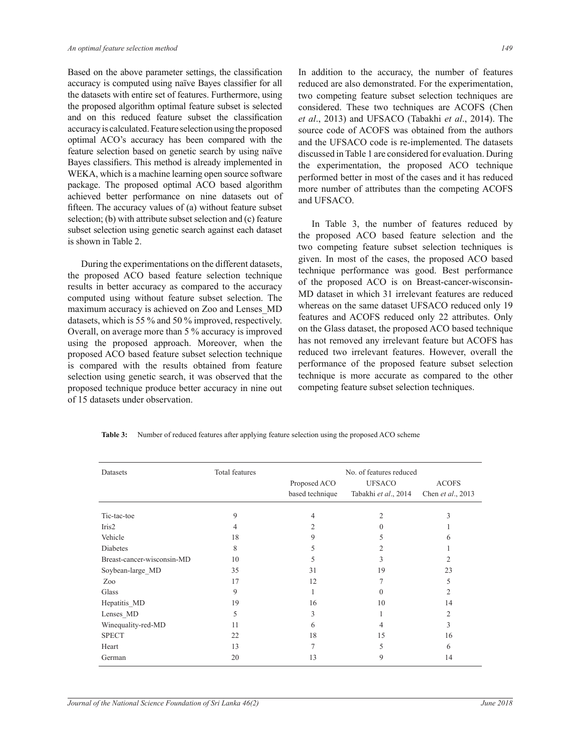Based on the above parameter settings, the classification accuracy is computed using naïve Bayes classifier for all the datasets with entire set of features. Furthermore, using the proposed algorithm optimal feature subset is selected and on this reduced feature subset the classification accuracy is calculated. Feature selection using the proposed optimal ACO's accuracy has been compared with the feature selection based on genetic search by using naïve Bayes classifiers. This method is already implemented in WEKA, which is a machine learning open source software package. The proposed optimal ACO based algorithm achieved better performance on nine datasets out of fifteen. The accuracy values of (a) without feature subset selection; (b) with attribute subset selection and (c) feature subset selection using genetic search against each dataset is shown in Table 2.

 During the experimentations on the different datasets, the proposed ACO based feature selection technique results in better accuracy as compared to the accuracy computed using without feature subset selection. The maximum accuracy is achieved on Zoo and Lenses MD datasets, which is 55  $\%$  and 50  $\%$  improved, respectively. Overall, on average more than 5 % accuracy is improved using the proposed approach. Moreover, when the proposed ACO based feature subset selection technique is compared with the results obtained from feature selection using genetic search, it was observed that the proposed technique produce better accuracy in nine out of 15 datasets under observation.

In addition to the accuracy, the number of features reduced are also demonstrated. For the experimentation, two competing feature subset selection techniques are considered. These two techniques are ACOFS (Chen et al., 2013) and UFSACO (Tabakhi et al., 2014). The source code of ACOFS was obtained from the authors and the UFSACO code is re-implemented. The datasets discussed in Table 1 are considered for evaluation. During the experimentation, the proposed ACO technique performed better in most of the cases and it has reduced more number of attributes than the competing ACOFS and UFSACO.

 In Table 3, the number of features reduced by the proposed ACO based feature selection and the two competing feature subset selection techniques is given. In most of the cases, the proposed ACO based technique performance was good. Best performance of the proposed ACO is on Breast-cancer-wisconsin-MD dataset in which 31 irrelevant features are reduced whereas on the same dataset UFSACO reduced only 19 features and ACOFS reduced only 22 attributes. Only on the Glass dataset, the proposed ACO based technique has not removed any irrelevant feature but ACOFS has reduced two irrelevant features. However, overall the performance of the proposed feature subset selection technique is more accurate as compared to the other competing feature subset selection techniques.

| <b>Table 3:</b> Number of reduced features after applying feature selection using the proposed ACO scheme |
|-----------------------------------------------------------------------------------------------------------|
|-----------------------------------------------------------------------------------------------------------|

| Datasets                   | Total features | No. of features reduced |                      |                   |
|----------------------------|----------------|-------------------------|----------------------|-------------------|
|                            |                | Proposed ACO            | <b>UFSACO</b>        | <b>ACOFS</b>      |
|                            |                | based technique         | Tabakhi et al., 2014 | Chen et al., 2013 |
| Tic-tac-toe                | 9              |                         | 2                    | 3                 |
| Iris2                      | 4              | 2                       | $\Omega$             |                   |
| Vehicle                    | 18             | 9                       | 5                    | 6                 |
| Diabetes                   | 8              | 5                       | 2                    |                   |
| Breast-cancer-wisconsin-MD | 10             | 5                       | 3                    | 2                 |
| Soybean-large MD           | 35             | 31                      | 19                   | 23                |
| Zoo                        | 17             | 12                      |                      | 5                 |
| Glass                      | 9              |                         | $\Omega$             | 2                 |
| Hepatitis MD               | 19             | 16                      | 10                   | 14                |
| Lenses MD                  | 5              | 3                       |                      | $\overline{2}$    |
| Winequality-red-MD         | 11             | 6                       | 4                    | 3                 |
| <b>SPECT</b>               | 22             | 18                      | 15                   | 16                |
| Heart                      | 13             |                         |                      | 6                 |
| German                     | 20             | 13                      | 9                    | 14                |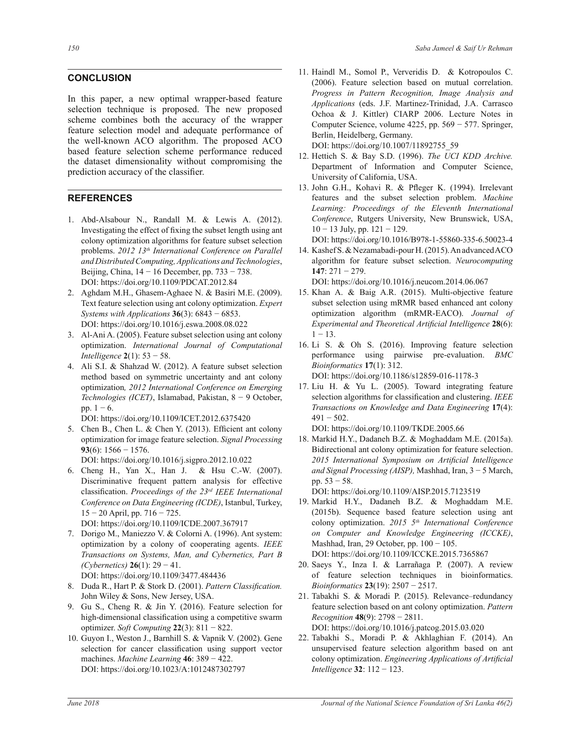## **CONCLUSION**

In this paper, a new optimal wrapper-based feature selection technique is proposed. The new proposed scheme combines both the accuracy of the wrapper feature selection model and adequate performance of the well-known ACO algorithm. The proposed ACO based feature selection scheme performance reduced the dataset dimensionality without compromising the prediction accuracy of the classifier.

# **REFERENCES**

- 1. Abd-Alsabour N., Randall M. & Lewis A. (2012). Investigating the effect of fixing the subset length using ant colony optimization algorithms for feature subset selection problems. 2012 13<sup>th</sup> International Conference on Parallel and Distributed Computing, Applications and Technologies, Beijing, China,  $14 - 16$  December, pp.  $733 - 738$ . DOI: https://doi.org/10.1109/PDCAT.2012.84
- 2. Aghdam M.H., Ghasem-Aghaee N. & Basiri M.E. (2009). Text feature selection using ant colony optimization. Expert Systems with Applications  $36(3)$ : 6843 - 6853. DOI: https://doi.org/10.1016/j.eswa.2008.08.022
- 3. Al-Ani A. (2005). Feature subset selection using ant colony optimization. International Journal of Computational Intelligence  $2(1)$ : 53 - 58.
- 4. Ali S.I. & Shahzad W. (2012). A feature subset selection method based on symmetric uncertainty and ant colony optimization, 2012 International Conference on Emerging Technologies (ICET), Islamabad, Pakistan,  $8 - 9$  October, pp.  $1 - 6$ .

DOI: https://doi.org/10.1109/ICET.2012.6375420

5. Chen B., Chen L. & Chen Y. (2013). Efficient ant colony optimization for image feature selection. Signal Processing 93(6):  $1566 - 1576$ .

DOI: https://doi.org/10.1016/j.sigpro.2012.10.022

- 6. Cheng H., Yan X., Han J. & Hsu C.-W. (2007). Discriminative frequent pattern analysis for effective classification. Proceedings of the  $23<sup>rd</sup>$  IEEE International Conference on Data Engineering (ICDE), Istanbul, Turkey,  $15 - 20$  April, pp.  $716 - 725$ . DOI: https://doi.org/10.1109/ICDE.2007.367917
- 7. Dorigo M., Maniezzo V. & Colorni A. (1996). Ant system: optimization by a colony of cooperating agents. IEEE Transactions on Systems, Man, and Cybernetics, Part B (Cybernetics)  $26(1)$ : 29 - 41.

DOI: https://doi.org/10.1109/3477.484436

- 8. Duda R., Hart P. & Stork D. (2001). Pattern Classification. John Wiley & Sons, New Jersey, USA.
- 9. Gu S., Cheng R. & Jin Y. (2016). Feature selection for high-dimensional classification using a competitive swarm optimizer. Soft Computing  $22(3)$ : 811 – 822.
- 10. Guyon I., Weston J., Barnhill S. & Vapnik V. (2002). Gene selection for cancer classification using support vector machines. Machine Learning  $46:389 - 422$ . DOI: https://doi.org/10.1023/A:1012487302797

11. Haindl M., Somol P., Ververidis D. & Kotropoulos C. (2006). Feature selection based on mutual correlation. Progress in Pattern Recognition, Image Analysis and Applications (eds. J.F. Martinez-Trinidad, J.A. Carrasco Ochoa & J. Kittler) CIARP 2006. Lecture Notes in Computer Science, volume  $4225$ , pp.  $569 - 577$ . Springer, Berlin, Heidelberg, Germany.

DOI: https://doi.org/10.1007/11892755 59

- 12. Hettich S. & Bay S.D. (1996). The UCI KDD Archive. Department of Information and Computer Science, University of California, USA.
- 13. John G.H., Kohavi R. & Pfleger K. (1994). Irrelevant features and the subset selection problem. Machine Learning: Proceedings of the Eleventh International Conference, Rutgers University, New Brunswick, USA,  $10 - 13$  July, pp.  $121 - 129$ .

DOI: https://doi.org/10.1016/B978-1-55860-335-6.50023-4

14. Kashef S. & Nezamabadi-pour H. (2015). An advanced ACO algorithm for feature subset selection. Neurocomputing  $147:271 - 279.$ 

DOI: https://doi.org/10.1016/j.neucom.2014.06.067

- 15. Khan A. & Baig A.R. (2015). Multi-objective feature subset selection using mRMR based enhanced ant colony optimization algorithm (mRMR-EACO). Journal of Experimental and Theoretical Artificial Intelligence 28(6):  $1 - 13$ .
- 16. Li S. & Oh S. (2016). Improving feature selection performance using pairwise pre-evaluation. BMC Bioinformatics 17(1): 312. DOI: https://doi.org/10.1186/s12859-016-1178-3
- 17. Liu H. & Yu L. (2005). Toward integrating feature selection algorithms for classification and clustering. IEEE Transactions on Knowledge and Data Engineering 17(4):  $491 - 502$ .

DOI: https://doi.org/10.1109/TKDE.2005.66

18. Markid H.Y., Dadaneh B.Z. & Moghaddam M.E. (2015a). Bidirectional ant colony optimization for feature selection. 2015 International Symposium on Artificial Intelligence and Signal Processing (AISP), Mashhad, Iran,  $3 - 5$  March, pp.  $53 - 58$ .

DOI: https://doi.org/10.1109/AISP.2015.7123519

- 19. Markid H.Y., Dadaneh B.Z. & Moghaddam M.E. (2015b). Sequence based feature selection using ant colony optimization. 2015 5<sup>th</sup> International Conference on Computer and Knowledge Engineering (ICCKE), Mashhad, Iran, 29 October, pp.  $100 - 105$ . DOI: https://doi.org/10.1109/ICCKE.2015.7365867
- 20. Saeys Y., Inza I. & Larrañaga P. (2007). A review of feature selection techniques in bioinformatics. Bioinformatics  $23(19)$ :  $2507 - 2517$ .
- 21. Tabakhi S. & Moradi P. (2015). Relevance-redundancy feature selection based on ant colony optimization. Pattern Recognition 48(9):  $2798 - 2811$ . DOI: https://doi.org/10.1016/j.patcog.2015.03.020
- 22. Tabakhi S., Moradi P. & Akhlaghian F. (2014). An unsupervised feature selection algorithm based on ant colony optimization. Engineering Applications of Artificial Intelligence  $32: 112 - 123$ .